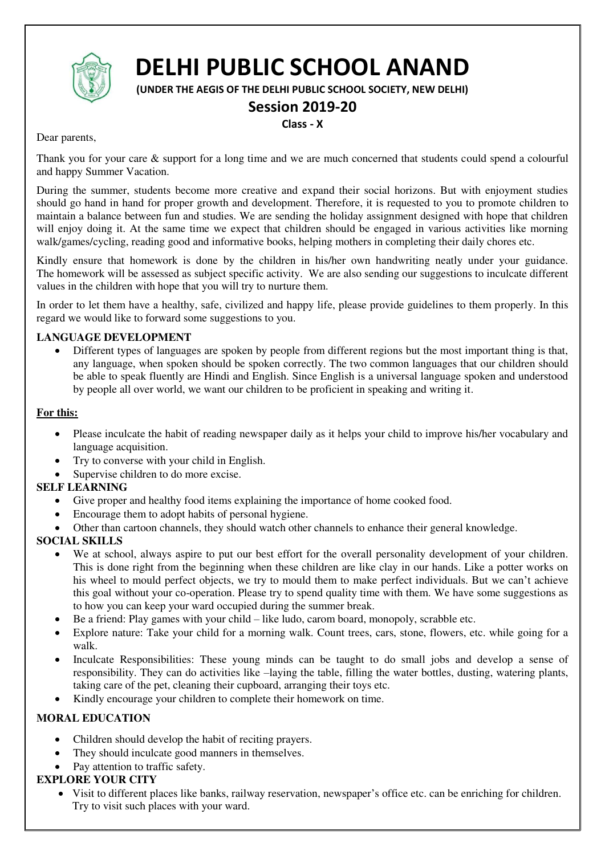

# **DELHI PUBLIC SCHOOL ANAND**

**(UNDER THE AEGIS OF THE DELHI PUBLIC SCHOOL SOCIETY, NEW DELHI)** 

## **Session 2019-20**

### **Class - X**

Dear parents,

Thank you for your care & support for a long time and we are much concerned that students could spend a colourful and happy Summer Vacation.

During the summer, students become more creative and expand their social horizons. But with enjoyment studies should go hand in hand for proper growth and development. Therefore, it is requested to you to promote children to maintain a balance between fun and studies. We are sending the holiday assignment designed with hope that children will enjoy doing it. At the same time we expect that children should be engaged in various activities like morning walk/games/cycling, reading good and informative books, helping mothers in completing their daily chores etc.

Kindly ensure that homework is done by the children in his/her own handwriting neatly under your guidance. The homework will be assessed as subject specific activity. We are also sending our suggestions to inculcate different values in the children with hope that you will try to nurture them.

In order to let them have a healthy, safe, civilized and happy life, please provide guidelines to them properly. In this regard we would like to forward some suggestions to you.

## **LANGUAGE DEVELOPMENT**

 Different types of languages are spoken by people from different regions but the most important thing is that, any language, when spoken should be spoken correctly. The two common languages that our children should be able to speak fluently are Hindi and English. Since English is a universal language spoken and understood by people all over world, we want our children to be proficient in speaking and writing it.

#### **For this:**

- Please inculcate the habit of reading newspaper daily as it helps your child to improve his/her vocabulary and language acquisition.
- Try to converse with your child in English.
- Supervise children to do more excise.

## **SELF LEARNING**

- Give proper and healthy food items explaining the importance of home cooked food.
- Encourage them to adopt habits of personal hygiene.
- Other than cartoon channels, they should watch other channels to enhance their general knowledge.

## **SOCIAL SKILLS**

- We at school, always aspire to put our best effort for the overall personality development of your children. This is done right from the beginning when these children are like clay in our hands. Like a potter works on his wheel to mould perfect objects, we try to mould them to make perfect individuals. But we can't achieve this goal without your co-operation. Please try to spend quality time with them. We have some suggestions as to how you can keep your ward occupied during the summer break.
- Be a friend: Play games with your child like ludo, carom board, monopoly, scrabble etc.
- Explore nature: Take your child for a morning walk. Count trees, cars, stone, flowers, etc. while going for a walk.
- Inculcate Responsibilities: These young minds can be taught to do small jobs and develop a sense of responsibility. They can do activities like –laying the table, filling the water bottles, dusting, watering plants, taking care of the pet, cleaning their cupboard, arranging their toys etc.
- Kindly encourage your children to complete their homework on time.

## **MORAL EDUCATION**

- Children should develop the habit of reciting prayers.
- They should inculcate good manners in themselves.
- Pay attention to traffic safety.

#### **EXPLORE YOUR CITY**

 Visit to different places like banks, railway reservation, newspaper's office etc. can be enriching for children. Try to visit such places with your ward.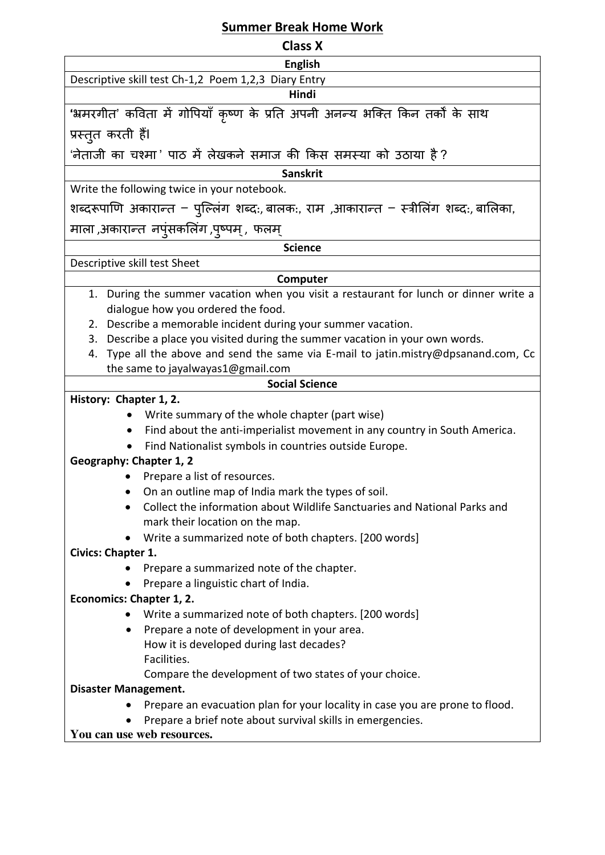## **Summer Break Home Work**

| <b>Class X</b>                                                                                                                                 |  |  |  |
|------------------------------------------------------------------------------------------------------------------------------------------------|--|--|--|
| <b>English</b>                                                                                                                                 |  |  |  |
| Descriptive skill test Ch-1,2 Poem 1,2,3 Diary Entry                                                                                           |  |  |  |
| Hindi                                                                                                                                          |  |  |  |
| 'भ्रमरगीत' कविता में गोपियाँ कृष्ण के प्रति अपनी अनन्य भक्ति किन तर्कों के साथ                                                                 |  |  |  |
| प्रस्तुत करती हैं।                                                                                                                             |  |  |  |
| 'नेताजी का चश्मा' पाठ में लेखकने समाज की किस समस्या को उठाया है ?                                                                              |  |  |  |
| <b>Sanskrit</b>                                                                                                                                |  |  |  |
| Write the following twice in your notebook.                                                                                                    |  |  |  |
| शब्दरूपाणि अकारान्त – पुल्लिंग शब्दः, बालकः, राम ,आकारान्त – स्त्रीलिंग शब्दः, बालिका,                                                         |  |  |  |
| माला ,अकारान्त  नपुंसकलिंग ,पुष्पम् ,  फलम्                                                                                                    |  |  |  |
| <b>Science</b>                                                                                                                                 |  |  |  |
| Descriptive skill test Sheet                                                                                                                   |  |  |  |
| Computer                                                                                                                                       |  |  |  |
| 1. During the summer vacation when you visit a restaurant for lunch or dinner write a                                                          |  |  |  |
| dialogue how you ordered the food.                                                                                                             |  |  |  |
| 2. Describe a memorable incident during your summer vacation.<br>3. Describe a place you visited during the summer vacation in your own words. |  |  |  |
| Type all the above and send the same via E-mail to jatin.mistry@dpsanand.com, Cc<br>4.                                                         |  |  |  |
| the same to jayalwayas1@gmail.com                                                                                                              |  |  |  |
| <b>Social Science</b>                                                                                                                          |  |  |  |
| History: Chapter 1, 2.                                                                                                                         |  |  |  |
| Write summary of the whole chapter (part wise)                                                                                                 |  |  |  |
| Find about the anti-imperialist movement in any country in South America.                                                                      |  |  |  |
| Find Nationalist symbols in countries outside Europe.                                                                                          |  |  |  |
| <b>Geography: Chapter 1, 2</b>                                                                                                                 |  |  |  |
| Prepare a list of resources.                                                                                                                   |  |  |  |
| On an outline map of India mark the types of soil.                                                                                             |  |  |  |
| Collect the information about Wildlife Sanctuaries and National Parks and                                                                      |  |  |  |
| mark their location on the map.                                                                                                                |  |  |  |
| Write a summarized note of both chapters. [200 words]                                                                                          |  |  |  |
| Civics: Chapter 1.                                                                                                                             |  |  |  |
| Prepare a summarized note of the chapter.                                                                                                      |  |  |  |
| Prepare a linguistic chart of India.                                                                                                           |  |  |  |
| Economics: Chapter 1, 2.                                                                                                                       |  |  |  |
| Write a summarized note of both chapters. [200 words]                                                                                          |  |  |  |
| Prepare a note of development in your area.<br>$\bullet$                                                                                       |  |  |  |
| How it is developed during last decades?<br>Facilities.                                                                                        |  |  |  |
| Compare the development of two states of your choice.                                                                                          |  |  |  |
| <b>Disaster Management.</b>                                                                                                                    |  |  |  |
| Prepare an evacuation plan for your locality in case you are prone to flood.                                                                   |  |  |  |
| Prepare a brief note about survival skills in emergencies.                                                                                     |  |  |  |

**You can use web resources.**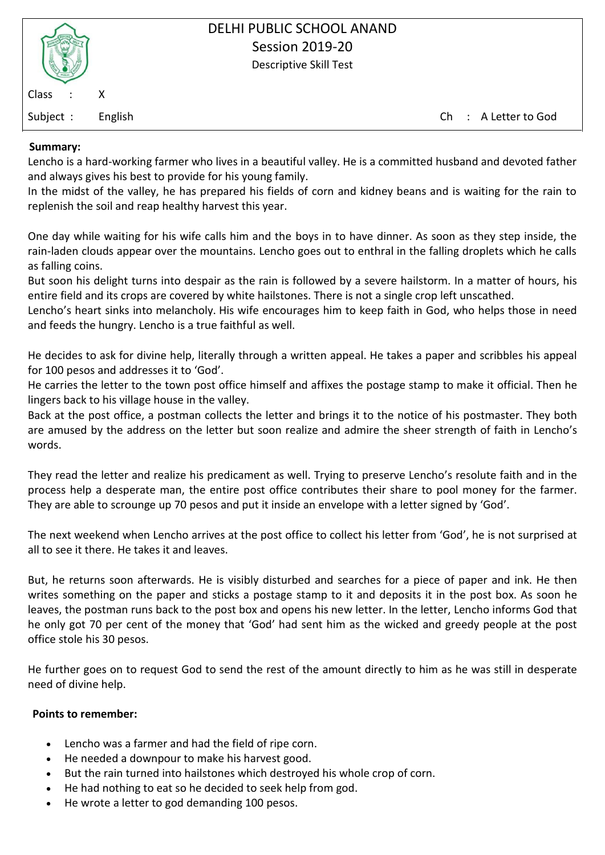| Class   | Χ    |
|---------|------|
| Subject | Fngl |

Subject : English Ch : A Letter to God

## **Summary:**

[Lencho is a hard-working farmer](https://englishnotes.com/question/write-a-note-on-character-sketch-of-lencho-in-a-letter-to-god/) who lives in a beautiful valley. He is a committed husband and devoted father and always gives his best to provide for his young family.

In the midst of the valley, he has prepared his fields of corn and kidney beans and is waiting for the rain to replenish the soil and reap healthy harvest this year.

One day while waiting for his wife calls him and the boys in to have dinner. As soon as they step inside, the rain-laden clouds appear over the mountains. Lencho goes out to enthral in the falling droplets which he calls as falling coins.

But soon his delight turns into despair as the rain is followed by a severe hailstorm. In a matter of hours, his entire field and its crops are covered by white hailstones. There is not a single crop left unscathed.

Lencho's heart sinks into melancholy. His wife encourages him to keep faith in God, who helps those in need and feeds the hungry. Lencho is a true faithful as well.

He decides to ask for divine help, literally through a written appeal. He takes a paper and scribbles his appeal for 100 pesos and [addresses it to](https://englishnotes.com/question/why-did-lencho-write-a-letter-to-god/) 'God'.

He carries the letter to the town post office himself and affixes the postage stamp to make it official. Then he lingers back to his village house in the valley.

Back at the post office, a postman collects the letter and brings it to the notice of his postmaster. They both are amused by the address on the letter but soon realize and admire the sheer strength of faith in Lencho's words.

They read the letter and realize his predicament as well. Trying to preserve Lencho's resolute faith and in the process help a desperate man, the entire post office contributes their share to pool money for the farmer. They are able to scrounge up 70 pesos and put it inside an envelope with a letter signed by 'God'.

The next weekend when Lencho arrives at the post office to collect his letter from 'God', he is not surprised at all to see it there. He takes it and leaves.

But, he returns soon afterwards. He is visibly disturbed and searches for a piece of paper and ink. He then writes something on the paper and sticks a postage stamp to it and deposits it in the post box. As soon he leaves, the postman runs back to the post box and opens his new letter. In the letter, Lencho informs God that he only got 70 per cent of the money that 'God' had sent him as the wicked and greedy people at the post office stole his 30 pesos.

He further goes on to request God to send the rest of the amount directly to him as he was still in desperate need of divine help.

#### **Points to remember:**

- Lencho was a farmer and had the field of ripe corn.
- He needed a downpour to make his harvest good.
- But the rain turned into hailstones which destroyed his whole crop of corn.
- He had nothing to eat so he decided to seek help from god.
- He wrote a letter to god demanding 100 pesos.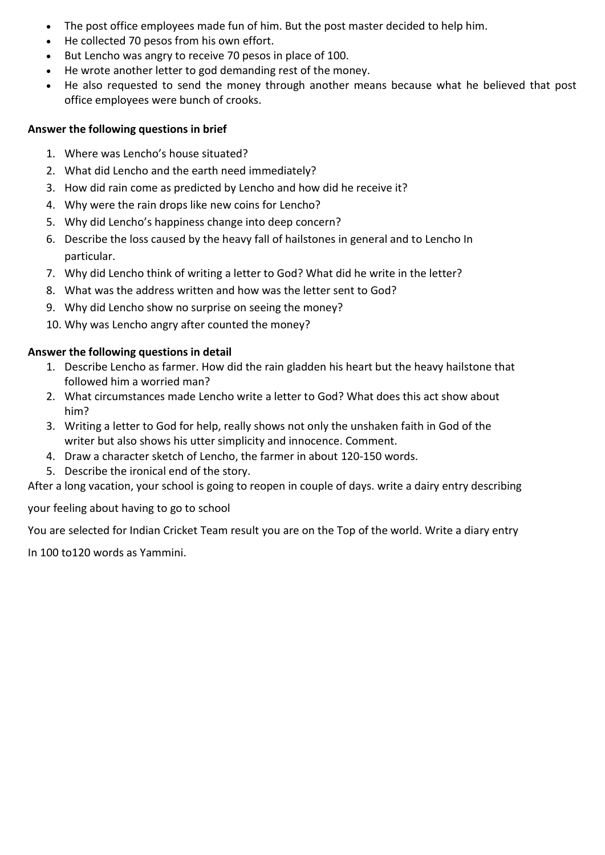- The post office employees made fun of him. But the post master decided to help him.
- He collected 70 pesos from his own effort.
- But Lencho was angry to receive 70 pesos in place of 100.
- He wrote another letter to god demanding rest of the money.
- He also requested to send the money through another means because what he believed that post office employees were bunch of crooks.

## **Answer the following questions in brief**

- 1. Where was Lencho's house situated?
- 2. What did Lencho and the earth need immediately?
- 3. How did rain come as predicted by Lencho and how did he receive it?
- 4. Why were the rain drops like new coins for Lencho?
- 5. Why did Lencho's happiness change into deep concern?
- 6. Describe the loss caused by the heavy fall of hailstones in general and to Lencho In particular.
- 7. Why did Lencho think of writing a letter to God? What did he write in the letter?
- 8. What was the address written and how was the letter sent to God?
- 9. Why did Lencho show no surprise on seeing the money?
- 10. Why was Lencho angry after counted the money?

## **Answer the following questions in detail**

- 1. Describe Lencho as farmer. How did the rain gladden his heart but the heavy hailstone that followed him a worried man?
- 2. What circumstances made Lencho write a letter to God? What does this act show about him?
- 3. Writing a letter to God for help, really shows not only the unshaken faith in God of the writer but also shows his utter simplicity and innocence. Comment.
- 4. Draw a character sketch of Lencho, the farmer in about 120-150 words.
- 5. Describe the ironical end of the story.

After a long vacation, your school is going to reopen in couple of days. write a dairy entry describing

your feeling about having to go to school

You are selected for Indian Cricket Team result you are on the Top of the world. Write a diary entry

In 100 to120 words as Yammini.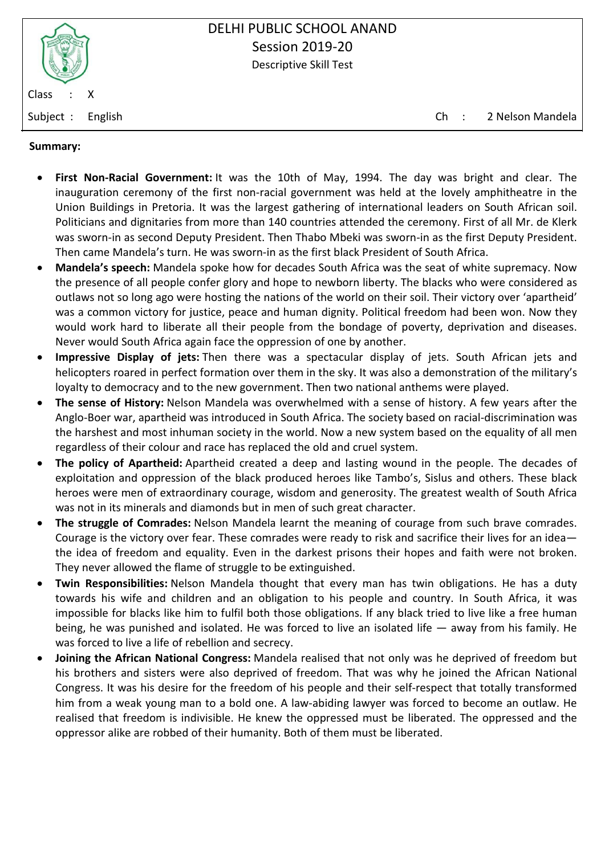

Subject : English Ch : 2 Nelson Mandela

## **Summary:**

- **First Non-Racial Government:** It was the 10th of May, 1994. The day was bright and clear. The inauguration ceremony of the first non-racial government was held at the lovely amphitheatre in the Union Buildings in Pretoria. It was the largest gathering of international leaders on South African soil. Politicians and dignitaries from more than 140 countries attended the ceremony. First of all Mr. de Klerk was sworn-in as second Deputy President. Then Thabo Mbeki was sworn-in as the first Deputy President. Then came Mandela's turn. He was sworn-in as the first black President of South Africa.
- **Mandela's speech:** Mandela spoke how for decades South Africa was the seat of white supremacy. Now the presence of all people confer glory and hope to newborn liberty. The blacks who were considered as outlaws not so long ago were hosting the nations of the world on their soil. Their victory over 'apartheid' was a common victory for justice, peace and human dignity. Political freedom had been won. Now they would work hard to liberate all their people from the bondage of poverty, deprivation and diseases. Never would South Africa again face the oppression of one by another.
- **Impressive Display of jets:** Then there was a spectacular display of jets. South African jets and helicopters roared in perfect formation over them in the sky. It was also a demonstration of the military's loyalty to democracy and to the new government. Then two national anthems were played.
- **The sense of History:** Nelson Mandela was overwhelmed with a sense of history. A few years after the Anglo-Boer war, apartheid was introduced in South Africa. The society based on racial-discrimination was the harshest and most inhuman society in the world. Now a new system based on the equality of all men regardless of their colour and race has replaced the old and cruel system.
- **The policy of Apartheid:** Apartheid created a deep and lasting wound in the people. The decades of exploitation and oppression of the black produced heroes like Tambo's, Sislus and others. These black heroes were men of extraordinary courage, wisdom and generosity. The greatest wealth of South Africa was not in its minerals and diamonds but in men of such great character.
- **The struggle of Comrades:** Nelson Mandela learnt the meaning of courage from such brave comrades. Courage is the victory over fear. These comrades were ready to risk and sacrifice their lives for an idea the idea of freedom and equality. Even in the darkest prisons their hopes and faith were not broken. They never allowed the flame of struggle to be extinguished.
- **Twin Responsibilities:** Nelson Mandela thought that every man has twin obligations. He has a duty towards his wife and children and an obligation to his people and country. In South Africa, it was impossible for blacks like him to fulfil both those obligations. If any black tried to live like a free human being, he was punished and isolated. He was forced to live an isolated life — away from his family. He was forced to live a life of rebellion and secrecy.
- **Joining the African National Congress:** Mandela realised that not only was he deprived of freedom but his brothers and sisters were also deprived of freedom. That was why he joined the African National Congress. It was his desire for the freedom of his people and their self-respect that totally transformed him from a weak young man to a bold one. A law-abiding lawyer was forced to become an outlaw. He realised that freedom is indivisible. He knew the oppressed must be liberated. The oppressed and the oppressor alike are robbed of their humanity. Both of them must be liberated.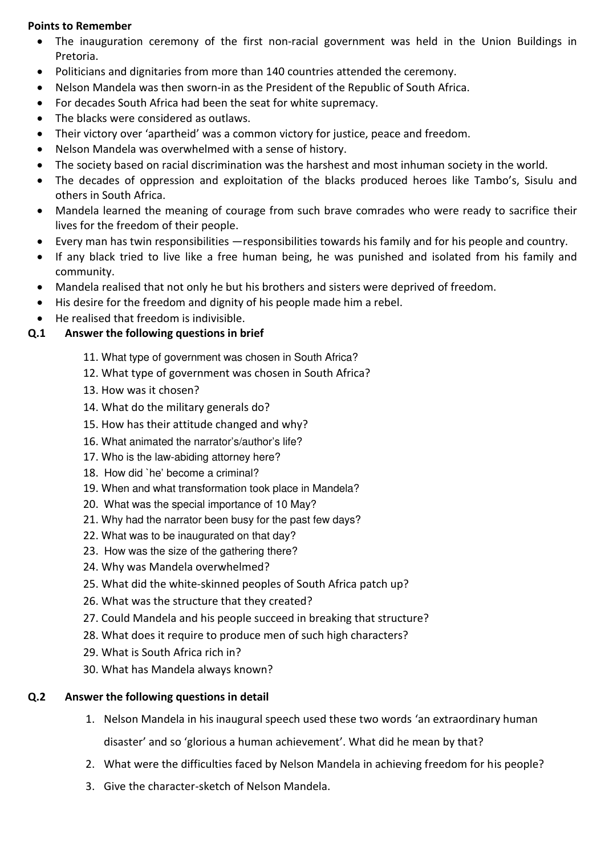## **Points to Remember**

- The inauguration ceremony of the first non-racial government was held in the Union Buildings in Pretoria.
- Politicians and dignitaries from more than 140 countries attended the ceremony.
- Nelson Mandela was then sworn-in as the President of the Republic of South Africa.
- For decades South Africa had been the seat for white supremacy.
- The blacks were considered as outlaws.
- Their victory over 'apartheid' was a common victory for justice, peace and freedom.
- Nelson Mandela was overwhelmed with a sense of history.
- The society based on racial discrimination was the harshest and most inhuman society in the world.
- The decades of oppression and exploitation of the blacks produced heroes like Tambo's, Sisulu and others in South Africa.
- Mandela learned the meaning of courage from such brave comrades who were ready to sacrifice their lives for the freedom of their people.
- Every man has twin responsibilities —responsibilities towards his family and for his people and country.
- If any black tried to live like a free human being, he was punished and isolated from his family and community.
- Mandela realised that not only he but his brothers and sisters were deprived of freedom.
- His desire for the freedom and dignity of his people made him a rebel.
- He realised that freedom is indivisible.

## **Q.1 Answer the following questions in brief**

- 11. What type of government was chosen in South Africa?
- 12. What type of government was chosen in South Africa?
- 13. How was it chosen?
- 14. What do the military generals do?
- 15. How has their attitude changed and why?
- 16. What animated the narrator's/author's life?
- 17. Who is the law-abiding attorney here?
- 18. How did `he' become a criminal?
- 19. When and what transformation took place in Mandela?
- 20. What was the special importance of 10 May?
- 21. Why had the narrator been busy for the past few days?
- 22. What was to be inaugurated on that day?
- 23. How was the size of the gathering there?
- 24. Why was Mandela overwhelmed?
- 25. What did the white-skinned peoples of South Africa patch up?
- 26. What was the structure that they created?
- 27. Could Mandela and his people succeed in breaking that structure?
- 28. What does it require to produce men of such high characters?
- 29. What is South Africa rich in?
- 30. What has Mandela always known?

## **Q.2 Answer the following questions in detail**

- 1. Nelson Mandela in his inaugural speech used these two words 'an extraordinary human disaster' and so 'glorious a human achievement'. What did he mean by that?
- 2. What were the difficulties faced by Nelson Mandela in achieving freedom for his people?
- 3. Give the character-sketch of Nelson Mandela.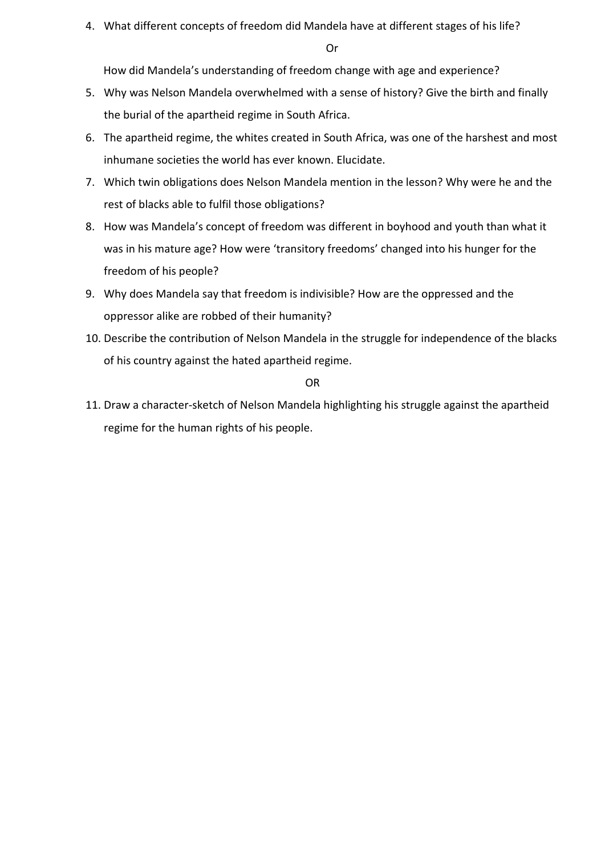4. What different concepts of freedom did Mandela have at different stages of his life?

Or

How did Mandela's understanding of freedom change with age and experience?

- 5. Why was Nelson Mandela overwhelmed with a sense of history? Give the birth and finally the burial of the apartheid regime in South Africa.
- 6. The apartheid regime, the whites created in South Africa, was one of the harshest and most inhumane societies the world has ever known. Elucidate.
- 7. Which twin obligations does Nelson Mandela mention in the lesson? Why were he and the rest of blacks able to fulfil those obligations?
- 8. How was Mandela's concept of freedom was different in boyhood and youth than what it was in his mature age? How were 'transitory freedoms' changed into his hunger for the freedom of his people?
- 9. Why does Mandela say that freedom is indivisible? How are the oppressed and the oppressor alike are robbed of their humanity?
- 10. Describe the contribution of Nelson Mandela in the struggle for independence of the blacks of his country against the hated apartheid regime.

OR

11. Draw a character-sketch of Nelson Mandela highlighting his struggle against the apartheid regime for the human rights of his people.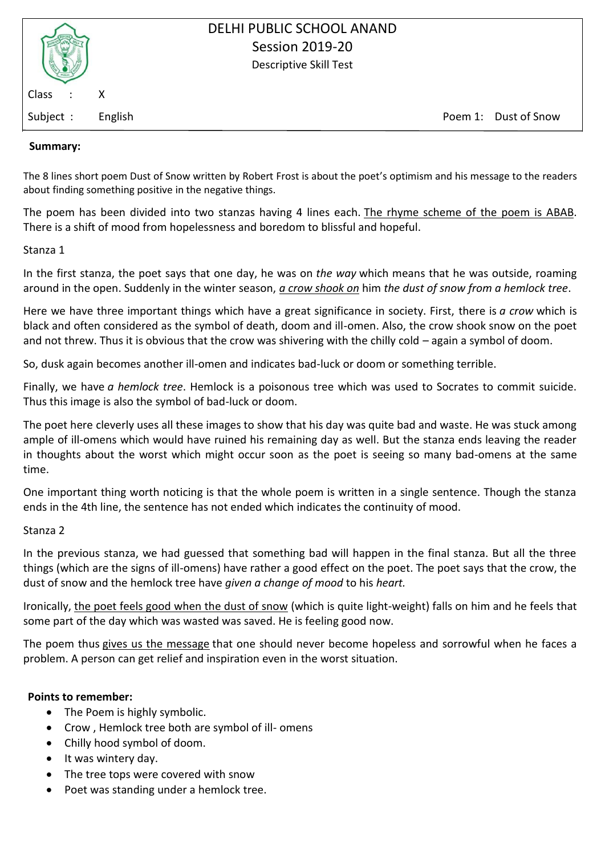| Class   | Χ     |
|---------|-------|
| Subject | Engli |

sh is the state of the state of Snow Poem 1: Dust of Snow Poem 1: Dust of Snow Poem 1: Dust of Snow  $\sim$ 

## **Summary:**

The 8 lines short poem Dust of Snow written by Robert Frost is about the poet's optimism and his message to the readers about finding something positive in the negative things.

The poem has been divided into two stanzas having 4 lines each. [The rhyme scheme of the poem is ABAB.](https://englishnotes.com/question/explain-dust-of-snow-literary-devices/) There is a shift of mood from hopelessness and boredom to blissful and hopeful.

Stanza 1

In the first stanza, the poet says that one day, he was on *the way* which means that he was outside, roaming around in the open. Suddenly in the winter season, *[a crow shook on](https://englishnotes.com/question/the-way-a-crow-shook-down-on-me-explain-the-phrase/)* him *the dust of snow from a hemlock tree*.

Here we have three important things which have a great significance in society. First, there is *a crow* which is black and often considered as the symbol of death, doom and ill-omen. Also, the crow shook snow on the poet and not threw. Thus it is obvious that the crow was shivering with the chilly cold – again a symbol of doom.

So, dusk again becomes another ill-omen and indicates bad-luck or doom or something terrible.

Finally, we have *a hemlock tree*. Hemlock is a poisonous tree which was used to Socrates to commit suicide. Thus this image is also the symbol of bad-luck or doom.

The poet here cleverly uses all these images to show that his day was quite bad and waste. He was stuck among ample of ill-omens which would have ruined his remaining day as well. But the stanza ends leaving the reader in thoughts about the worst which might occur soon as the poet is seeing so many bad-omens at the same time.

One important thing worth noticing is that the whole poem is written in a single sentence. Though the stanza ends in the 4th line, the sentence has not ended which indicates the continuity of mood.

#### Stanza 2

In the previous stanza, we had guessed that something bad will happen in the final stanza. But all the three things (which are the signs of ill-omens) have rather a good effect on the poet. The poet says that the crow, the dust of snow and the hemlock tree have *given a change of mood* to his *heart.*

Ironically, [the poet feels good when the dust of snow](https://englishnotes.com/question/explain-dust-of-snow-theme/) (which is quite light-weight) falls on him and he feels that some part of the day which was wasted was saved. He is feeling good now.

The poem thus [gives us the message](https://englishnotes.com/question/what-is-the-central-idea-of-poem-dust-of-snow/) that one should never become hopeless and sorrowful when he faces a problem. A person can get relief and inspiration even in the worst situation.

#### **Points to remember:**

- The Poem is highly symbolic.
- Crow , Hemlock tree both are symbol of ill- omens
- Chilly hood symbol of doom.
- It was wintery day.
- The tree tops were covered with snow
- Poet was standing under a hemlock tree.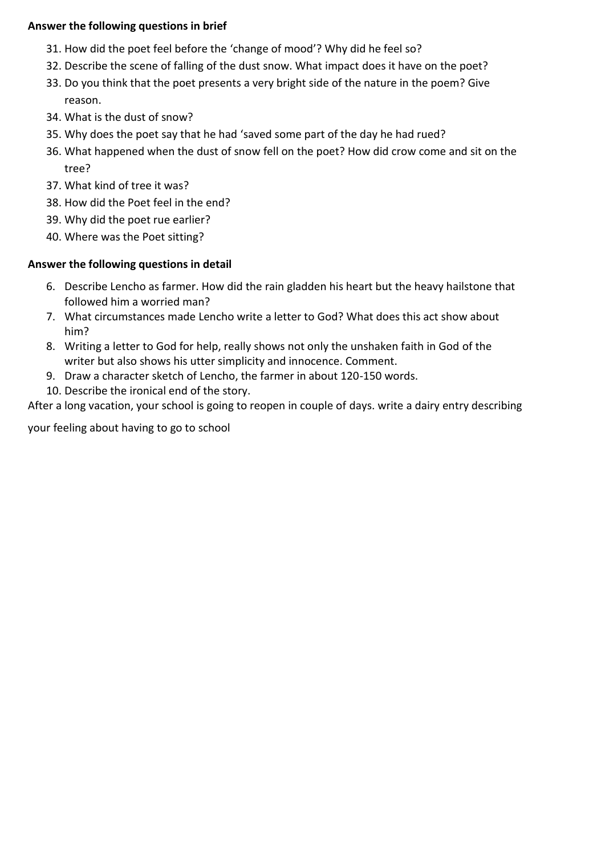## **Answer the following questions in brief**

- 31. How did the poet feel before the 'change of mood'? Why did he feel so?
- 32. Describe the scene of falling of the dust snow. What impact does it have on the poet?
- 33. Do you think that the poet presents a very bright side of the nature in the poem? Give reason.
- 34. What is the dust of snow?
- 35. Why does the poet say that he had 'saved some part of the day he had rued?
- 36. What happened when the dust of snow fell on the poet? How did crow come and sit on the tree?
- 37. What kind of tree it was?
- 38. How did the Poet feel in the end?
- 39. Why did the poet rue earlier?
- 40. Where was the Poet sitting?

## **Answer the following questions in detail**

- 6. Describe Lencho as farmer. How did the rain gladden his heart but the heavy hailstone that followed him a worried man?
- 7. What circumstances made Lencho write a letter to God? What does this act show about him?
- 8. Writing a letter to God for help, really shows not only the unshaken faith in God of the writer but also shows his utter simplicity and innocence. Comment.
- 9. Draw a character sketch of Lencho, the farmer in about 120-150 words.
- 10. Describe the ironical end of the story.

After a long vacation, your school is going to reopen in couple of days. write a dairy entry describing

your feeling about having to go to school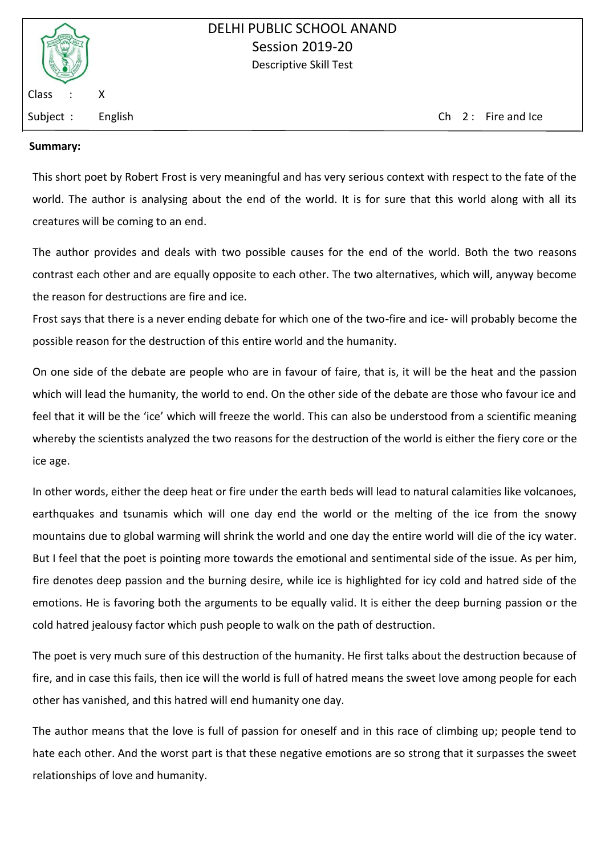

Subject : English Ch 2 : Fire and Ice

### **Summary:**

This short poet by Robert Frost is very meaningful and has very serious context with respect to the fate of the world. The author is analysing about the end of the world. It is for sure that this world along with all its creatures will be coming to an end.

The author provides and deals with two possible causes for the end of the world. Both the two reasons contrast each other and are equally opposite to each other. The two alternatives, which will, anyway become the reason for destructions are fire and ice.

Frost says that there is a never ending debate for which one of the two-fire and ice- will probably become the possible reason for the destruction of this entire world and the humanity.

On one side of the debate are people who are in favour of faire, that is, it will be the heat and the passion which will lead the humanity, the world to end. On the other side of the debate are those who favour ice and feel that it will be the 'ice' which will freeze the world. This can also be understood from a scientific meaning whereby the scientists analyzed the two reasons for the destruction of the world is either the fiery core or the ice age.

In other words, either the deep heat or fire under the earth beds will lead to natural calamities like volcanoes, earthquakes and tsunamis which will one day end the world or the melting of the ice from the snowy mountains due to global warming will shrink the world and one day the entire world will die of the icy water. But I feel that the poet is pointing more towards the emotional and sentimental side of the issue. As per him, fire denotes deep passion and the burning desire, while ice is highlighted for icy cold and hatred side of the emotions. He is favoring both the arguments to be equally valid. It is either the deep burning passion or the cold hatred jealousy factor which push people to walk on the path of destruction.

The poet is very much sure of this destruction of the humanity. He first talks about the destruction because of fire, and in case this fails, then ice will the world is full of hatred means the sweet love among people for each other has vanished, and this hatred will end humanity one day.

The author means that the love is full of passion for oneself and in this race of climbing up; people tend to hate each other. And the worst part is that these negative emotions are so strong that it surpasses the sweet relationships of love and humanity.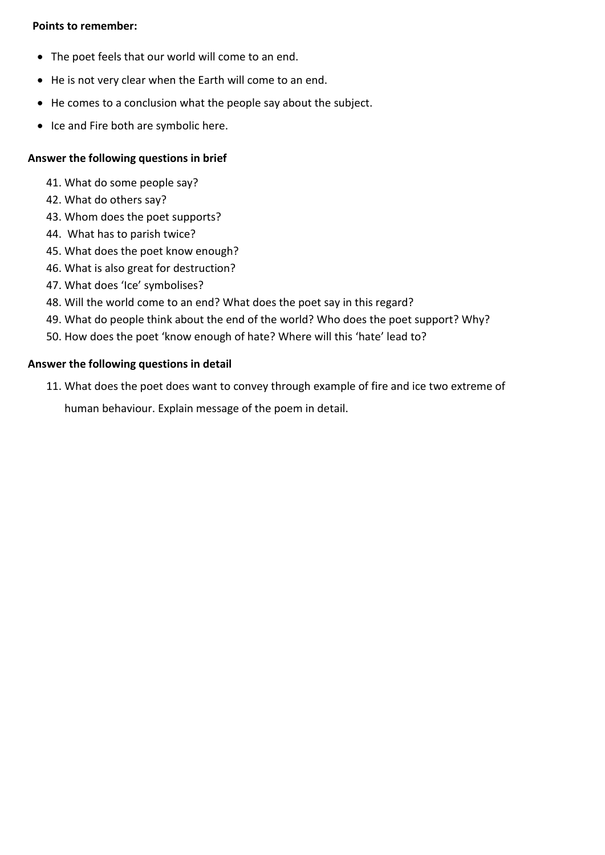## **Points to remember:**

- The poet feels that our world will come to an end.
- He is not very clear when the Earth will come to an end.
- He comes to a conclusion what the people say about the subject.
- Ice and Fire both are symbolic here.

## **Answer the following questions in brief**

- 41. What do some people say?
- 42. What do others say?
- 43. Whom does the poet supports?
- 44. What has to parish twice?
- 45. What does the poet know enough?
- 46. What is also great for destruction?
- 47. What does 'Ice' symbolises?
- 48. Will the world come to an end? What does the poet say in this regard?
- 49. What do people think about the end of the world? Who does the poet support? Why?
- 50. How does the poet 'know enough of hate? Where will this 'hate' lead to?

#### **Answer the following questions in detail**

11. What does the poet does want to convey through example of fire and ice two extreme of

human behaviour. Explain message of the poem in detail.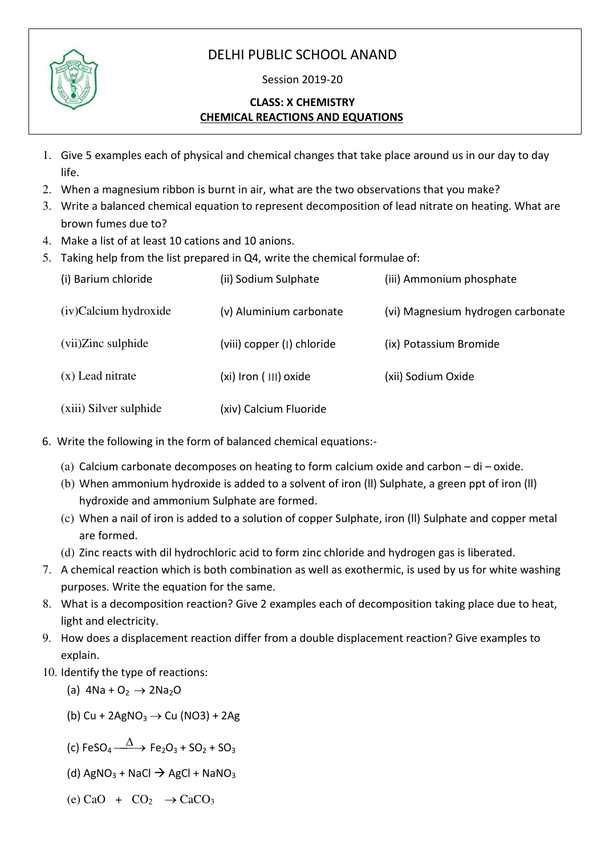# DELHI PUBLIC SCHOOL ANAND



## Session 2019-20

## **CLASS: X CHEMISTRY CHEMICAL REACTIONS AND EQUATIONS**

- 1. Give 5 examples each of physical and chemical changes that take place around us in our day to day life.
- 2. When a magnesium ribbon is burnt in air, what are the two observations that you make?
- 3. Write a balanced chemical equation to represent decomposition of lead nitrate on heating. What are brown fumes due to?
- 4. Make a list of at least 10 cations and 10 anions.
- 5. Taking help from the list prepared in Q4, write the chemical formulae of:

| (i) Barium chloride    | (ii) Sodium Sulphate       | (iii) Ammonium phosphate          |
|------------------------|----------------------------|-----------------------------------|
| (iv)Calcium hydroxide  | (v) Aluminium carbonate    | (vi) Magnesium hydrogen carbonate |
| (vii)Zinc sulphide     | (viii) copper (I) chloride | (ix) Potassium Bromide            |
| $(x)$ Lead nitrate     | (xi) Iron (III) oxide      | (xii) Sodium Oxide                |
| (xiii) Silver sulphide | (xiv) Calcium Fluoride     |                                   |

- 6. Write the following in the form of balanced chemical equations:-
	- (a) Calcium carbonate decomposes on heating to form calcium oxide and carbon  $-$  di oxide.
	- (b) When ammonium hydroxide is added to a solvent of iron (ll) Sulphate, a green ppt of iron (ll) hydroxide and ammonium Sulphate are formed.
	- (c) When a nail of iron is added to a solution of copper Sulphate, iron (ll) Sulphate and copper metal are formed.
	- (d) Zinc reacts with dil hydrochloric acid to form zinc chloride and hydrogen gas is liberated.
- 7. A chemical reaction which is both combination as well as exothermic, is used by us for white washing purposes. Write the equation for the same.
- 8. What is a decomposition reaction? Give 2 examples each of decomposition taking place due to heat, light and electricity.
- 9. How does a displacement reaction differ from a double displacement reaction? Give examples to explain.
- 10. Identify the type of reactions:

(a) 
$$
4Na + O_2 \rightarrow 2Na_2O
$$

- (b) Cu + 2AgNO<sub>3</sub>  $\rightarrow$  Cu (NO3) + 2Ag
- (c) FeSO<sub>4</sub>  $\frac{\Delta}{\Delta}$  Fe<sub>2</sub>O<sub>3</sub> + SO<sub>2</sub> + SO<sub>3</sub>
- (d)  $AgNO_3 + NaCl \rightarrow AgCl + NaNO_3$
- (e) CaO +  $CO<sub>2</sub>$   $\rightarrow$  CaCO<sub>3</sub>